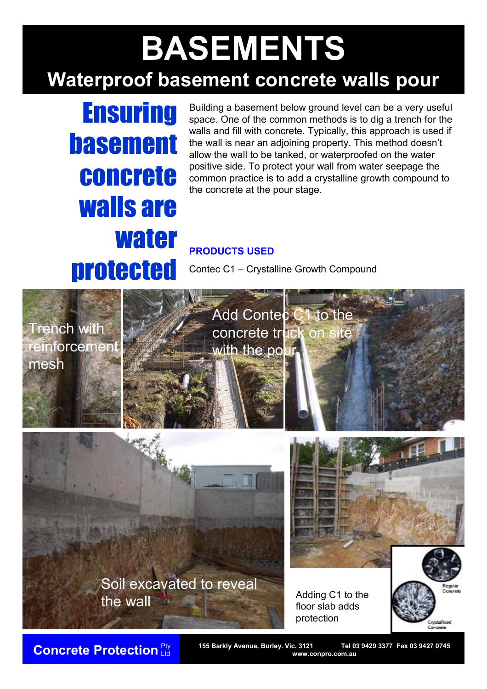## **BASEMENTS Waterproof basement concrete walls pour**

# **Ensuring basement** concrete walls are water protected

Building a basement below ground level can be a very useful space. One of the common methods is to dig a trench for the walls and fill with concrete. Typically, this approach is used if the wall is near an adjoining property. This method doesn't allow the wall to be tanked, or waterproofed on the water positive side. To protect your wall from water seepage the common practice is to add a crystalline growth compound to the concrete at the pour stage.

### **PRODUCTS USED**

Contec C1 – Crystalline Growth Compound



Add Contec C1 to the concrete truck on site with the po

Soil excavated to reveal the wall

Adding C1 to the floor slab adds protection



Ltd

**Concrete Protection** Pty 155 Barkly Avenue, Burley. Vic. 3121 Tel 03 9429 3377 Fax 03 9427 0745